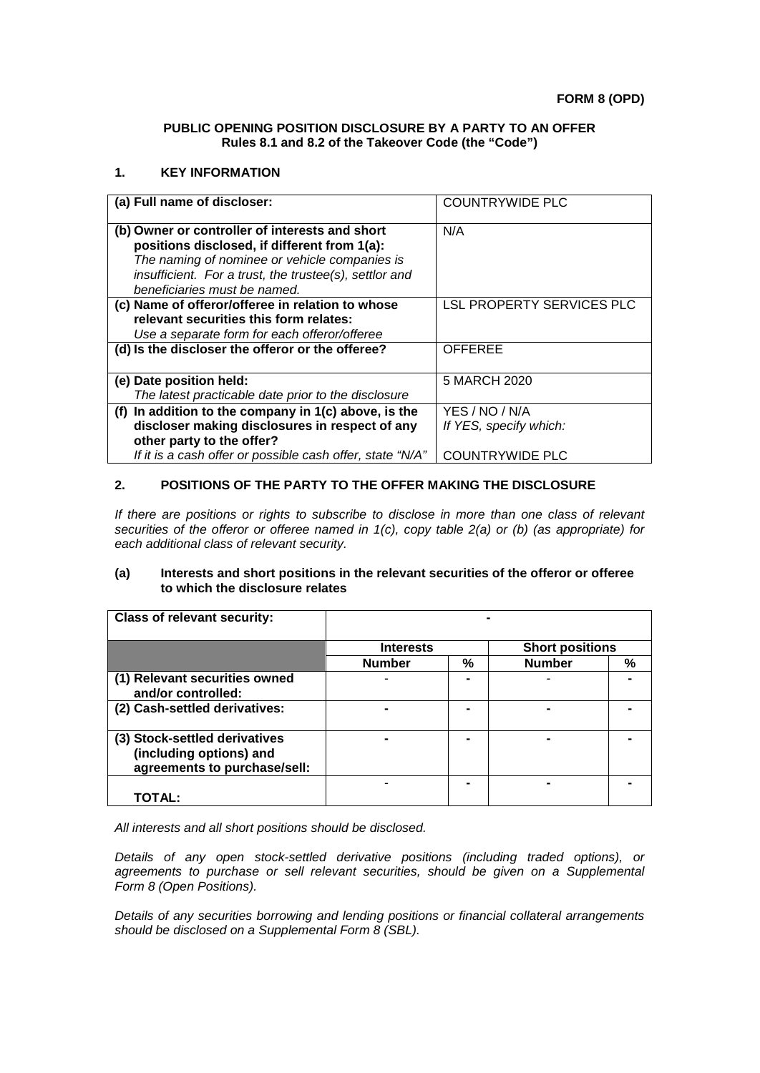#### **PUBLIC OPENING POSITION DISCLOSURE BY A PARTY TO AN OFFER Rules 8.1 and 8.2 of the Takeover Code (the "Code")**

### **1. KEY INFORMATION**

| (a) Full name of discloser:                                                                                                                                                                               | <b>COUNTRYWIDE PLC</b>                   |
|-----------------------------------------------------------------------------------------------------------------------------------------------------------------------------------------------------------|------------------------------------------|
| (b) Owner or controller of interests and short<br>positions disclosed, if different from 1(a):<br>The naming of nominee or vehicle companies is<br>insufficient. For a trust, the trustee(s), settlor and | N/A                                      |
| beneficiaries must be named.<br>(c) Name of offeror/offeree in relation to whose<br>relevant securities this form relates:<br>Use a separate form for each offeror/offeree                                | LSL PROPERTY SERVICES PLC                |
| (d) Is the discloser the offeror or the offeree?                                                                                                                                                          | <b>OFFEREE</b>                           |
| (e) Date position held:<br>The latest practicable date prior to the disclosure                                                                                                                            | 5 MARCH 2020                             |
| (f) In addition to the company in $1(c)$ above, is the<br>discloser making disclosures in respect of any<br>other party to the offer?                                                                     | YES / NO / N/A<br>If YES, specify which: |
| If it is a cash offer or possible cash offer, state "N/A"                                                                                                                                                 | <b>COUNTRYWIDE PLC</b>                   |

# **2. POSITIONS OF THE PARTY TO THE OFFER MAKING THE DISCLOSURE**

*If there are positions or rights to subscribe to disclose in more than one class of relevant securities of the offeror or offeree named in 1(c), copy table 2(a) or (b) (as appropriate) for each additional class of relevant security.*

#### **(a) Interests and short positions in the relevant securities of the offeror or offeree to which the disclosure relates**

| <b>Class of relevant security:</b>                                                       |                  |   |                        |   |
|------------------------------------------------------------------------------------------|------------------|---|------------------------|---|
|                                                                                          | <b>Interests</b> |   | <b>Short positions</b> |   |
|                                                                                          | <b>Number</b>    | % | <b>Number</b>          | % |
| (1) Relevant securities owned<br>and/or controlled:                                      |                  |   |                        |   |
| (2) Cash-settled derivatives:                                                            |                  |   |                        |   |
| (3) Stock-settled derivatives<br>(including options) and<br>agreements to purchase/sell: |                  |   |                        |   |
| TOTAL:                                                                                   |                  |   |                        |   |

*All interests and all short positions should be disclosed.*

*Details of any open stock-settled derivative positions (including traded options), or agreements to purchase or sell relevant securities, should be given on a Supplemental Form 8 (Open Positions).*

*Details of any securities borrowing and lending positions or financial collateral arrangements should be disclosed on a Supplemental Form 8 (SBL).*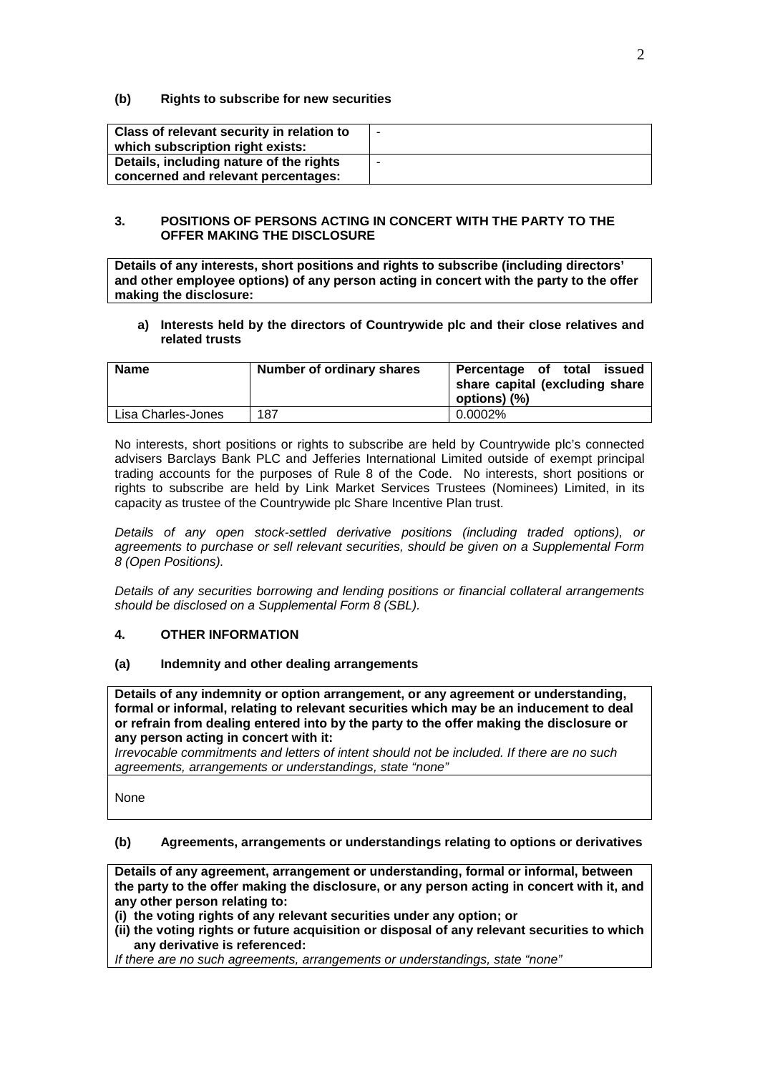### **(b) Rights to subscribe for new securities**

| Class of relevant security in relation to<br>which subscription right exists:  | ٠ |
|--------------------------------------------------------------------------------|---|
| Details, including nature of the rights<br>concerned and relevant percentages: | - |

### **3. POSITIONS OF PERSONS ACTING IN CONCERT WITH THE PARTY TO THE OFFER MAKING THE DISCLOSURE**

**Details of any interests, short positions and rights to subscribe (including directors' and other employee options) of any person acting in concert with the party to the offer making the disclosure:**

#### **a) Interests held by the directors of Countrywide plc and their close relatives and related trusts**

| <b>Name</b>        | Number of ordinary shares | Percentage of total issued<br>share capital (excluding share<br>options) (%) |
|--------------------|---------------------------|------------------------------------------------------------------------------|
| Lisa Charles-Jones | 187                       | $0.0002\%$                                                                   |

No interests, short positions or rights to subscribe are held by Countrywide plc's connected advisers Barclays Bank PLC and Jefferies International Limited outside of exempt principal trading accounts for the purposes of Rule 8 of the Code. No interests, short positions or rights to subscribe are held by Link Market Services Trustees (Nominees) Limited, in its capacity as trustee of the Countrywide plc Share Incentive Plan trust.

*Details of any open stock-settled derivative positions (including traded options), or agreements to purchase or sell relevant securities, should be given on a Supplemental Form 8 (Open Positions).*

*Details of any securities borrowing and lending positions or financial collateral arrangements should be disclosed on a Supplemental Form 8 (SBL).*

## **4. OTHER INFORMATION**

#### **(a) Indemnity and other dealing arrangements**

**Details of any indemnity or option arrangement, or any agreement or understanding, formal or informal, relating to relevant securities which may be an inducement to deal or refrain from dealing entered into by the party to the offer making the disclosure or any person acting in concert with it:**

*Irrevocable commitments and letters of intent should not be included. If there are no such agreements, arrangements or understandings, state "none"*

None

## **(b) Agreements, arrangements or understandings relating to options or derivatives**

**Details of any agreement, arrangement or understanding, formal or informal, between the party to the offer making the disclosure, or any person acting in concert with it, and any other person relating to:**

**(i) the voting rights of any relevant securities under any option; or** 

**(ii) the voting rights or future acquisition or disposal of any relevant securities to which any derivative is referenced:**

*If there are no such agreements, arrangements or understandings, state "none"*